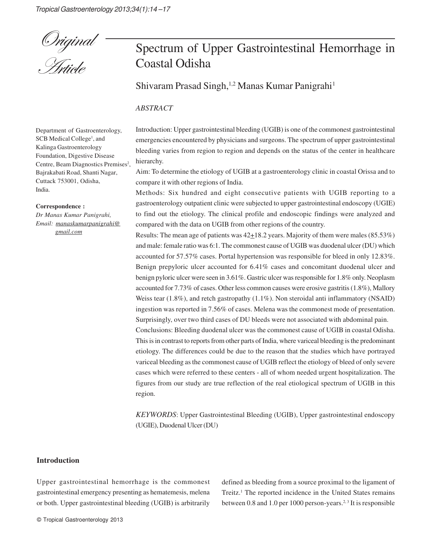

# Spectrum of Upper Gastrointestinal Hemorrhage in Coastal Odisha

Shivaram Prasad Singh,<sup>1,2</sup> Manas Kumar Panigrahi<sup>1</sup>

#### *ABSTRACT*

Department of Gastroenterology, SCB Medical College<sup>1</sup>, and Kalinga Gastroenterology Foundation, Digestive Disease Centre, Beam Diagnostics Premises<sup>2</sup>, Bajrakabati Road, Shanti Nagar, Cuttack 753001, Odisha, India.

#### **Correspondence :**

*Dr Manas Kumar Panigrahi, Email: manaskumarpanigrahi@ gmail.com*

Introduction: Upper gastrointestinal bleeding (UGIB) is one of the commonest gastrointestinal emergencies encountered by physicians and surgeons. The spectrum of upper gastrointestinal bleeding varies from region to region and depends on the status of the center in healthcare hierarchy.

Aim: To determine the etiology of UGIB at a gastroenterology clinic in coastal Orissa and to compare it with other regions of India.

Methods: Six hundred and eight consecutive patients with UGIB reporting to a gastroenterology outpatient clinic were subjected to upper gastrointestinal endoscopy (UGIE) to find out the etiology. The clinical profile and endoscopic findings were analyzed and compared with the data on UGIB from other regions of the country.

Results: The mean age of patients was  $42\pm18.2$  years. Majority of them were males (85.53%) and male: female ratio was 6:1. The commonest cause of UGIB was duodenal ulcer (DU) which accounted for 57.57% cases. Portal hypertension was responsible for bleed in only 12.83%. Benign prepyloric ulcer accounted for 6.41% cases and concomitant duodenal ulcer and benign pyloric ulcer were seen in 3.61%. Gastric ulcer was responsible for 1.8% only. Neoplasm accounted for 7.73% of cases. Other less common causes were erosive gastritis (1.8%), Mallory Weiss tear (1.8%), and retch gastropathy (1.1%). Non steroidal anti inflammatory (NSAID) ingestion was reported in 7.56% of cases. Melena was the commonest mode of presentation. Surprisingly, over two third cases of DU bleeds were not associated with abdominal pain. Conclusions: Bleeding duodenal ulcer was the commonest cause of UGIB in coastal Odisha. This is in contrast to reports from other parts of India, where variceal bleeding is the predominant etiology. The differences could be due to the reason that the studies which have portrayed variceal bleeding as the commonest cause of UGIB reflect the etiology of bleed of only severe cases which were referred to these centers - all of whom needed urgent hospitalization. The figures from our study are true reflection of the real etiological spectrum of UGIB in this region.

*KEYWORDS*: Upper Gastrointestinal Bleeding (UGIB), Upper gastrointestinal endoscopy (UGIE), Duodenal Ulcer (DU)

#### **Introduction**

Upper gastrointestinal hemorrhage is the commonest gastrointestinal emergency presenting as hematemesis, melena or both. Upper gastrointestinal bleeding (UGIB) is arbitrarily

© Tropical Gastroenterology 2013

defined as bleeding from a source proximal to the ligament of Treitz.<sup>1</sup> The reported incidence in the United States remains between 0.8 and 1.0 per 1000 person-years.<sup>2, 3</sup> It is responsible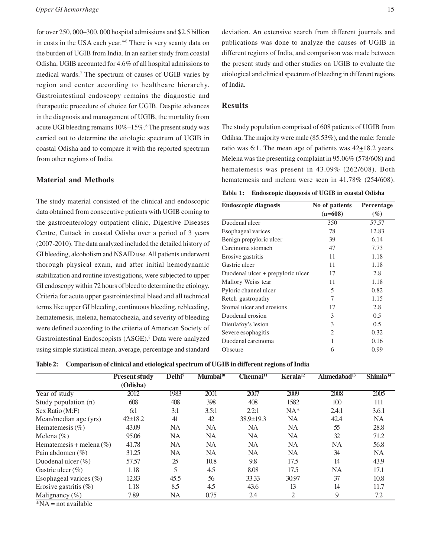for over 250, 000–300, 000 hospital admissions and \$2.5 billion in costs in the USA each year.<sup>4-6</sup> There is very scanty data on the burden of UGIB from India. In an earlier study from coastal Odisha, UGIB accounted for 4.6% of all hospital admissions to medical wards.<sup>7</sup> The spectrum of causes of UGIB varies by region and center according to healthcare hierarchy. Gastrointestinal endoscopy remains the diagnostic and therapeutic procedure of choice for UGIB. Despite advances in the diagnosis and management of UGIB, the mortality from acute UGI bleeding remains 10%-15%.<sup>6</sup> The present study was carried out to determine the etiologic spectrum of UGIB in coastal Odisha and to compare it with the reported spectrum from other regions of India.

### **Material and Methods**

The study material consisted of the clinical and endoscopic data obtained from consecutive patients with UGIB coming to the gastroenterology outpatient clinic, Digestive Diseases Centre, Cuttack in coastal Odisha over a period of 3 years (2007-2010). The data analyzed included the detailed history of GI bleeding, alcoholism and NSAID use. All patients underwent thorough physical exam, and after initial hemodynamic stabilization and routine investigations, were subjected to upper GI endoscopy within 72 hours of bleed to determine the etiology. Criteria for acute upper gastrointestinal bleed and all technical terms like upper GI bleeding, continuous bleeding, rebleeding, hematemesis, melena, hematochezia, and severity of bleeding were defined according to the criteria of American Society of Gastrointestinal Endoscopists (ASGE).<sup>8</sup> Data were analyzed using simple statistical mean, average, percentage and standard

deviation. An extensive search from different journals and publications was done to analyze the causes of UGIB in different regions of India, and comparison was made between the present study and other studies on UGIB to evaluate the etiological and clinical spectrum of bleeding in different regions of India.

## **Results**

The study population comprised of 608 patients of UGIB from Odihsa. The majority were male (85.53%), and the male: female ratio was 6:1. The mean age of patients was  $42+18.2$  years. Melena was the presenting complaint in 95.06% (578/608) and hematemesis was present in 43.09% (262/608). Both hematemesis and melena were seen in 41.78% (254/608).

**Table 1: Endoscopic diagnosis of UGIB in coastal Odisha**

| <b>Endoscopic diagnosis</b>       | No of patients | Percentage |  |
|-----------------------------------|----------------|------------|--|
|                                   | $(n=608)$      | (%)        |  |
| Duodenal ulcer                    | 350            | 57.57      |  |
| Esophageal varices                | 78             | 12.83      |  |
| Benign prepyloric ulcer           | 39             | 6.14       |  |
| Carcinoma stomach                 | 47             | 7.73       |  |
| Erosive gastritis                 | 11             | 1.18       |  |
| Gastric ulcer                     | 11             | 1.18       |  |
| Duodenal ulcer + prepyloric ulcer | 17             | 2.8        |  |
| Mallory Weiss tear                | 11             | 1.18       |  |
| Pyloric channel ulcer             | 5              | 0.82       |  |
| Retch gastropathy                 | 7              | 1.15       |  |
| Stomal ulcer and erosions         | 17             | 2.8        |  |
| Duodenal erosion                  | 3              | 0.5        |  |
| Dieulafoy's lesion                | 3              | 0.5        |  |
| Severe esophagitis                | $\overline{c}$ | 0.32       |  |
| Duodenal carcinoma                | 1              | 0.16       |  |
| Obscure                           | 6              | 0.99       |  |

**Table 2: Comparison of clinical and etiological spectrum of UGIB in different regions of India**

|                                      | <b>Present study</b> | Delhi <sup>9</sup> | Mumbai <sup>10</sup> | Chennai <sup>11</sup> | Kerala <sup>12</sup> | Ahmedabad <sup>13</sup> | $Shimla^{14}$ |
|--------------------------------------|----------------------|--------------------|----------------------|-----------------------|----------------------|-------------------------|---------------|
|                                      | (Odisha)             |                    |                      |                       |                      |                         |               |
| Year of study                        | 2012                 | 1983               | 2001                 | 2007                  | 2009                 | 2008                    | 2005          |
| Study population (n)                 | 608                  | 408                | 398                  | 408                   | 1582                 | 100                     | 111           |
| Sex Ratio (M:F)                      | 6:1                  | 3:1                | 3.5:1                | 2.2:1                 | $NA^*$               | 2.4:1                   | 3.6:1         |
| Mean/median age (yrs)                | $42 \pm 18.2$        | 41                 | 42                   | $38.9 \pm 19.3$       | NA                   | 42.4                    | NA.           |
| Hematemesis $(\% )$                  | 43.09                | NA                 | NA                   | NA                    | NA                   | 55                      | 28.8          |
| Melena $(\% )$                       | 95.06                | NA                 | NA                   | NA.                   | NA                   | 32                      | 71.2          |
| Hematemesis + melena $(\% )$         | 41.78                | <b>NA</b>          | <b>NA</b>            | NA.                   | NA                   | <b>NA</b>               | 56.8          |
| Pain abdomen $(\% )$                 | 31.25                | NA                 | NA                   | NA                    | NA                   | 34                      | NA.           |
| Duodenal ulcer $(\% )$               | 57.57                | 25                 | 10.8                 | 9.8                   | 17.5                 | 14                      | 43.9          |
| Gastric ulcer $(\% )$                | 1.18                 |                    | 4.5                  | 8.08                  | 17.5                 | <b>NA</b>               | 17.1          |
| Esophageal varices $(\%)$            | 12.83                | 45.5               | 56                   | 33.33                 | 30.97                | 37                      | 10.8          |
| Erosive gastritis $(\%)$             | 1.18                 | 8.5                | 4.5                  | 43.6                  | 13                   | 14                      | 11.7          |
| Malignancy $(\% )$<br>ABXZA<br>11.11 | 7.89                 | NA                 | 0.75                 | 2.4                   | 2                    | 9                       | 7.2           |

\*NA = not available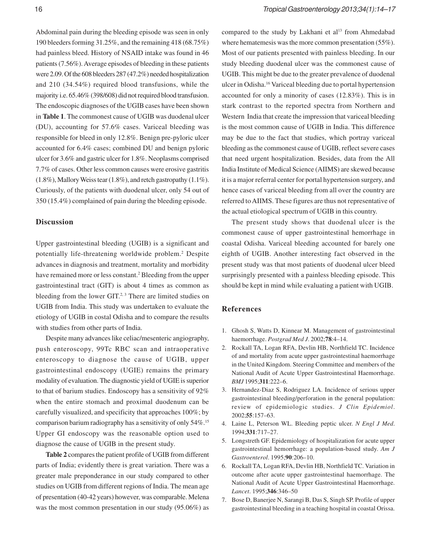Abdominal pain during the bleeding episode was seen in only 190 bleeders forming 31.25%, and the remaining 418 (68.75%) had painless bleed. History of NSAID intake was found in 46 patients (7.56%). Average episodes of bleeding in these patients were 2.09. Of the 608 bleeders 287 (47.2%) needed hospitalization and 210 (34.54%) required blood transfusions, while the majority i.e. 65.46% (398/608) did not required blood transfusion. The endoscopic diagnoses of the UGIB cases have been shown in **Table 1**. The commonest cause of UGIB was duodenal ulcer (DU), accounting for 57.6% cases. Variceal bleeding was responsible for bleed in only 12.8%. Benign pre-pyloric ulcer accounted for 6.4% cases; combined DU and benign pyloric ulcer for 3.6% and gastric ulcer for 1.8%. Neoplasms comprised 7.7% of cases. Other less common causes were erosive gastritis (1.8%), Mallory Weiss tear (1.8%), and retch gastropathy (1.1%). Curiously, of the patients with duodenal ulcer, only 54 out of 350 (15.4%) complained of pain during the bleeding episode.

### **Discussion**

Upper gastrointestinal bleeding (UGIB) is a significant and potentially life-threatening worldwide problem.<sup>2</sup> Despite advances in diagnosis and treatment, mortality and morbidity have remained more or less constant.<sup>2</sup> Bleeding from the upper gastrointestinal tract (GIT) is about 4 times as common as bleeding from the lower  $GIT<sup>2,3</sup>$ . There are limited studies on UGIB from India. This study was undertaken to evaluate the etiology of UGIB in costal Odisha and to compare the results with studies from other parts of India.

Despite many advances like celiac/mesenteric angiography, push enteroscopy, 99Tc RBC scan and intraoperative enteroscopy to diagnose the cause of UGIB, upper gastrointestinal endoscopy (UGIE) remains the primary modality of evaluation. The diagnostic yield of UGIE is superior to that of barium studies. Endoscopy has a sensitivity of 92% when the entire stomach and proximal duodenum can be carefully visualized, and specificity that approaches 100%; by comparison barium radiography has a sensitivity of only 54%.<sup>15</sup> Upper GI endoscopy was the reasonable option used to diagnose the cause of UGIB in the present study.

**Table 2** compares the patient profile of UGIB from different parts of India; evidently there is great variation. There was a greater male preponderance in our study compared to other studies on UGIB from different regions of India. The mean age of presentation (40-42 years) however, was comparable. Melena was the most common presentation in our study (95.06%) as

compared to the study by Lakhani et al<sup>13</sup> from Ahmedabad where hematemesis was the more common presentation (55%). Most of our patients presented with painless bleeding. In our study bleeding duodenal ulcer was the commonest cause of UGIB. This might be due to the greater prevalence of duodenal ulcer in Odisha.<sup>16</sup> Variceal bleeding due to portal hypertension accounted for only a minority of cases (12.83%). This is in stark contrast to the reported spectra from Northern and Western India that create the impression that variceal bleeding is the most common cause of UGIB in India. This difference may be due to the fact that studies, which portray variceal bleeding as the commonest cause of UGIB, reflect severe cases that need urgent hospitalization. Besides, data from the All India Institute of Medical Science (AIIMS) are skewed because it is a major referral center for portal hypertension surgery, and hence cases of variceal bleeding from all over the country are referred to AIIMS. These figures are thus not representative of the actual etiological spectrum of UGIB in this country.

The present study shows that duodenal ulcer is the commonest cause of upper gastrointestinal hemorrhage in coastal Odisha. Variceal bleeding accounted for barely one eighth of UGIB. Another interesting fact observed in the present study was that most patients of duodenal ulcer bleed surprisingly presented with a painless bleeding episode. This should be kept in mind while evaluating a patient with UGIB.

#### **References**

- 1. Ghosh S, Watts D, Kinnear M. Management of gastrointestinal haemorrhage. *Postgrad Med J*. 2002;**78**:4–14.
- 2. Rockall TA, Logan RFA, Devlin HB, Northfield TC. Incidence of and mortality from acute upper gastrointestinal haemorrhage in the United Kingdom. Steering Committee and members of the National Audit of Acute Upper Gastrointestinal Haemorrhage. *BMJ* 1995;**311**:222–6.
- 3. Hernandez-Diaz S, Rodriguez LA. Incidence of serious upper gastrointestinal bleeding/perforation in the general population: review of epidemiologic studies. *J Clin Epidemiol*. 2002;**55**:157–63.
- 4. Laine L, Peterson WL. Bleeding peptic ulcer. *N Engl J Med*. 1994;**331**:717–27.
- 5. Longstreth GF. Epidemiology of hospitalization for acute upper gastrointestinal hemorrhage: a population-based study. *Am J Gastroenterol*. 1995;**90**:206–10.
- 6. Rockall TA, Logan RFA, Devlin HB, Northfield TC. Variation in outcome after acute upper gastrointestinal haemorrhage. The National Audit of Acute Upper Gastrointestinal Haemorrhage. *Lancet*. 1995;**346**:346–50
- 7. Bose D, Banerjee N, Sarangi B, Das S, Singh SP. Profile of upper gastrointestinal bleeding in a teaching hospital in coastal Orissa.